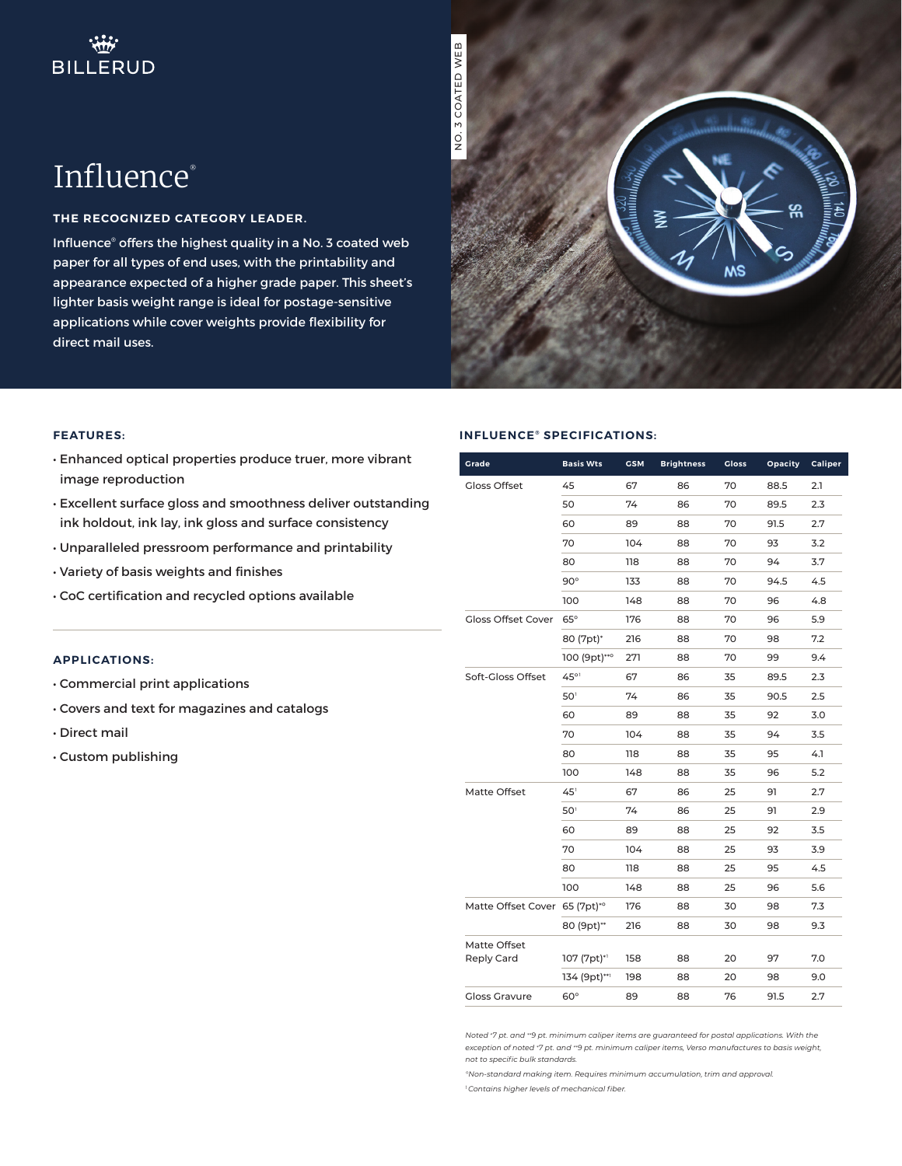NO. 3 COATED WEB

# Influence®

### **THE RECOGNIZED CATEGORY LEADER.**

Influence® offers the highest quality in a No. 3 coated web paper for all types of end uses, with the printability and appearance expected of a higher grade paper. This sheet's lighter basis weight range is ideal for postage-sensitive applications while cover weights provide flexibility for direct mail uses.



#### **FEATURES:**

- Enhanced optical properties produce truer, more vibrant image reproduction
- Excellent surface gloss and smoothness deliver outstanding ink holdout, ink lay, ink gloss and surface consistency
- Unparalleled pressroom performance and printability
- Variety of basis weights and finishes
- CoC certification and recycled options available

#### **APPLICATIONS:**

- Commercial print applications
- Covers and text for magazines and catalogs
- Direct mail
- Custom publishing

#### **INFLUENCE<sup>®</sup> SPECIFICATIONS:**

| Grade                         | <b>Basis Wts</b> | <b>GSM</b> | <b>Brightness</b> | Gloss | Opacity | Caliper |
|-------------------------------|------------------|------------|-------------------|-------|---------|---------|
| <b>Gloss Offset</b>           | 45               | 67         | 86                | 70    | 88.5    | 2.1     |
|                               | 50               | 74         | 86                | 70    | 89.5    | 2.3     |
|                               | 60               | 89         | 88                | 70    | 91.5    | 2.7     |
|                               | 70               | 104        | 88                | 70    | 93      | 3.2     |
|                               | 80               | 118        | 88                | 70    | 94      | 3.7     |
|                               | $90^\circ$       | 133        | 88                | 70    | 94.5    | 4.5     |
|                               | 100              | 148        | 88                | 70    | 96      | 4.8     |
| <b>Gloss Offset Cover</b>     | $65^\circ$       | 176        | 88                | 70    | 96      | 5.9     |
|                               | 80 (7pt)*        | 216        | 88                | 70    | 98      | 7.2     |
|                               | 100 (9pt)***     | 271        | 88                | 70    | 99      | 9.4     |
| Soft-Gloss Offset             | 45°1             | 67         | 86                | 35    | 89.5    | 2.3     |
|                               | 50               | 74         | 86                | 35    | 90.5    | 2.5     |
|                               | 60               | 89         | 88                | 35    | 92      | 3.0     |
|                               | 70               | 104        | 88                | 35    | 94      | 3.5     |
|                               | 80               | 118        | 88                | 35    | 95      | 4.1     |
|                               | 100              | 148        | 88                | 35    | 96      | 5.2     |
| Matte Offset                  | $45^{\circ}$     | 67         | 86                | 25    | 91      | 2.7     |
|                               | 50 <sup>1</sup>  | 74         | 86                | 25    | 91      | 2.9     |
|                               | 60               | 89         | 88                | 25    | 92      | 3.5     |
|                               | 70               | 104        | 88                | 25    | 93      | 3.9     |
|                               | 80               | 118        | 88                | 25    | 95      | 4.5     |
|                               | 100              | 148        | 88                | 25    | 96      | 5.6     |
| Matte Offset Cover 65 (7pt)*° |                  | 176        | 88                | 30    | 98      | 7.3     |
|                               | 80 (9pt)**       | 216        | 88                | 30    | 98      | 9.3     |
| Matte Offset                  |                  |            |                   |       |         |         |
| Reply Card                    | 107 (7pt)*1      | 158        | 88                | 20    | 97      | 7.0     |
|                               | 134 (9pt)**1     | 198        | 88                | 20    | 98      | 9.0     |
| <b>Gloss Gravure</b>          | $60^\circ$       | 89         | 88                | 76    | 91.5    | 2.7     |

*Noted \*7 pt. and \*\*9 pt. minimum caliper items are guaranteed for postal applications. With the exception of noted \*7 pt. and \*\*9 pt. minimum caliper items, Verso manufactures to basis weight, not to specific bulk standards.*

*°Non-standard making item. Requires minimum accumulation, trim and approval.*

*1 Contains higher levels of mechanical fiber.*